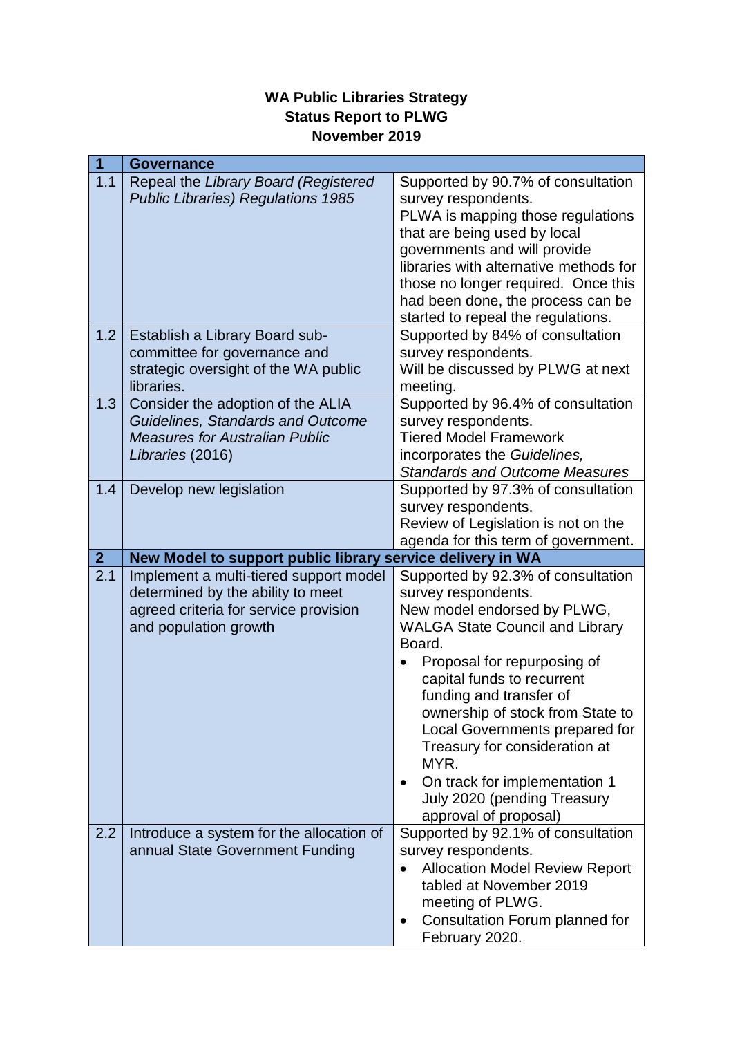## **WA Public Libraries Strategy Status Report to PLWG November 2019**

| 1            | <b>Governance</b>                                                                                                                                                                         |                                                                                                                                                                                                                                                                                                                                                                                                                                                                                                 |
|--------------|-------------------------------------------------------------------------------------------------------------------------------------------------------------------------------------------|-------------------------------------------------------------------------------------------------------------------------------------------------------------------------------------------------------------------------------------------------------------------------------------------------------------------------------------------------------------------------------------------------------------------------------------------------------------------------------------------------|
| 1.1          | Repeal the Library Board (Registered<br><b>Public Libraries) Regulations 1985</b>                                                                                                         | Supported by 90.7% of consultation<br>survey respondents.<br>PLWA is mapping those regulations<br>that are being used by local<br>governments and will provide<br>libraries with alternative methods for<br>those no longer required. Once this                                                                                                                                                                                                                                                 |
|              |                                                                                                                                                                                           | had been done, the process can be<br>started to repeal the regulations.                                                                                                                                                                                                                                                                                                                                                                                                                         |
| 1.2          | Establish a Library Board sub-<br>committee for governance and<br>strategic oversight of the WA public<br>libraries.                                                                      | Supported by 84% of consultation<br>survey respondents.<br>Will be discussed by PLWG at next<br>meeting.                                                                                                                                                                                                                                                                                                                                                                                        |
| 1.3          | Consider the adoption of the ALIA<br>Guidelines, Standards and Outcome<br><b>Measures for Australian Public</b><br>Libraries (2016)                                                       | Supported by 96.4% of consultation<br>survey respondents.<br><b>Tiered Model Framework</b><br>incorporates the Guidelines,<br><b>Standards and Outcome Measures</b>                                                                                                                                                                                                                                                                                                                             |
| 1.4          | Develop new legislation                                                                                                                                                                   | Supported by 97.3% of consultation<br>survey respondents.<br>Review of Legislation is not on the<br>agenda for this term of government.                                                                                                                                                                                                                                                                                                                                                         |
|              |                                                                                                                                                                                           |                                                                                                                                                                                                                                                                                                                                                                                                                                                                                                 |
| $\mathbf{2}$ | New Model to support public library service delivery in WA                                                                                                                                |                                                                                                                                                                                                                                                                                                                                                                                                                                                                                                 |
| 2.1<br>2.2   | Implement a multi-tiered support model<br>determined by the ability to meet<br>agreed criteria for service provision<br>and population growth<br>Introduce a system for the allocation of | Supported by 92.3% of consultation<br>survey respondents.<br>New model endorsed by PLWG,<br><b>WALGA State Council and Library</b><br>Board.<br>Proposal for repurposing of<br>capital funds to recurrent<br>funding and transfer of<br>ownership of stock from State to<br>Local Governments prepared for<br>Treasury for consideration at<br>MYR.<br>On track for implementation 1<br>$\bullet$<br>July 2020 (pending Treasury<br>approval of proposal)<br>Supported by 92.1% of consultation |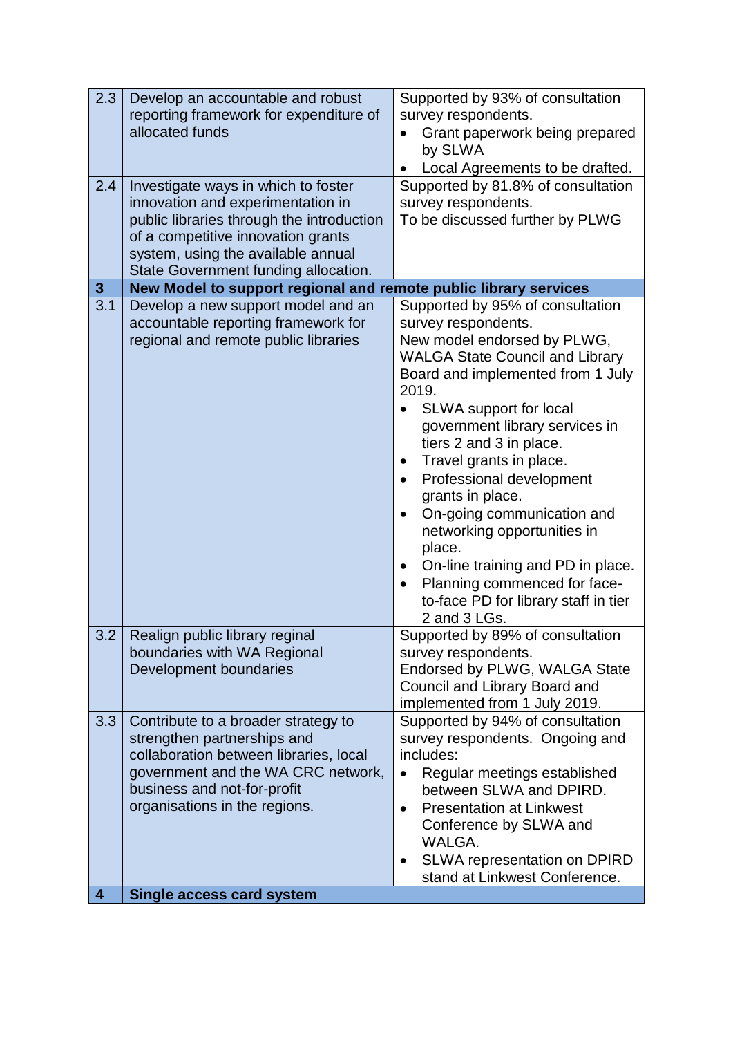| public libraries through the introduction<br>To be discussed further by PLWG<br>of a competitive innovation grants<br>system, using the available annual<br>State Government funding allocation.<br>New Model to support regional and remote public library services<br>$\mathbf{3}$<br>$\overline{3.1}$<br>Develop a new support model and an<br>Supported by 95% of consultation<br>accountable reporting framework for<br>survey respondents.<br>regional and remote public libraries<br>New model endorsed by PLWG,<br><b>WALGA State Council and Library</b><br>Board and implemented from 1 July<br>2019.<br>SLWA support for local<br>government library services in<br>tiers 2 and 3 in place.<br>Travel grants in place.<br>$\bullet$<br>Professional development<br>$\bullet$<br>grants in place.<br>On-going communication and<br>$\bullet$<br>networking opportunities in<br>place.<br>On-line training and PD in place.<br>$\bullet$<br>Planning commenced for face-<br>$\bullet$<br>to-face PD for library staff in tier<br>2 and 3 LGs.<br>Realign public library reginal<br>Supported by 89% of consultation<br>3.2<br>boundaries with WA Regional<br>survey respondents.<br>Development boundaries<br>Endorsed by PLWG, WALGA State<br>Council and Library Board and<br>implemented from 1 July 2019.<br>Supported by 94% of consultation<br>3.3<br>Contribute to a broader strategy to<br>strengthen partnerships and<br>survey respondents. Ongoing and<br>collaboration between libraries, local<br>includes:<br>government and the WA CRC network,<br>Regular meetings established<br>$\bullet$<br>business and not-for-profit<br>between SLWA and DPIRD.<br>organisations in the regions.<br><b>Presentation at Linkwest</b><br>$\bullet$<br>Conference by SLWA and<br>WALGA.<br>SLWA representation on DPIRD<br>$\bullet$ | 2.3<br>2.4 | Develop an accountable and robust<br>reporting framework for expenditure of<br>allocated funds<br>Investigate ways in which to foster<br>innovation and experimentation in | Supported by 93% of consultation<br>survey respondents.<br>Grant paperwork being prepared<br>$\bullet$<br>by SLWA<br>Local Agreements to be drafted.<br>Supported by 81.8% of consultation<br>survey respondents. |
|--------------------------------------------------------------------------------------------------------------------------------------------------------------------------------------------------------------------------------------------------------------------------------------------------------------------------------------------------------------------------------------------------------------------------------------------------------------------------------------------------------------------------------------------------------------------------------------------------------------------------------------------------------------------------------------------------------------------------------------------------------------------------------------------------------------------------------------------------------------------------------------------------------------------------------------------------------------------------------------------------------------------------------------------------------------------------------------------------------------------------------------------------------------------------------------------------------------------------------------------------------------------------------------------------------------------------------------------------------------------------------------------------------------------------------------------------------------------------------------------------------------------------------------------------------------------------------------------------------------------------------------------------------------------------------------------------------------------------------------------------------------------------------------------------------------------------------------------------|------------|----------------------------------------------------------------------------------------------------------------------------------------------------------------------------|-------------------------------------------------------------------------------------------------------------------------------------------------------------------------------------------------------------------|
|                                                                                                                                                                                                                                                                                                                                                                                                                                                                                                                                                                                                                                                                                                                                                                                                                                                                                                                                                                                                                                                                                                                                                                                                                                                                                                                                                                                                                                                                                                                                                                                                                                                                                                                                                                                                                                                  |            |                                                                                                                                                                            |                                                                                                                                                                                                                   |
|                                                                                                                                                                                                                                                                                                                                                                                                                                                                                                                                                                                                                                                                                                                                                                                                                                                                                                                                                                                                                                                                                                                                                                                                                                                                                                                                                                                                                                                                                                                                                                                                                                                                                                                                                                                                                                                  |            |                                                                                                                                                                            |                                                                                                                                                                                                                   |
|                                                                                                                                                                                                                                                                                                                                                                                                                                                                                                                                                                                                                                                                                                                                                                                                                                                                                                                                                                                                                                                                                                                                                                                                                                                                                                                                                                                                                                                                                                                                                                                                                                                                                                                                                                                                                                                  |            |                                                                                                                                                                            |                                                                                                                                                                                                                   |
|                                                                                                                                                                                                                                                                                                                                                                                                                                                                                                                                                                                                                                                                                                                                                                                                                                                                                                                                                                                                                                                                                                                                                                                                                                                                                                                                                                                                                                                                                                                                                                                                                                                                                                                                                                                                                                                  |            |                                                                                                                                                                            |                                                                                                                                                                                                                   |
| Single access card system<br>$\overline{\mathbf{4}}$                                                                                                                                                                                                                                                                                                                                                                                                                                                                                                                                                                                                                                                                                                                                                                                                                                                                                                                                                                                                                                                                                                                                                                                                                                                                                                                                                                                                                                                                                                                                                                                                                                                                                                                                                                                             |            |                                                                                                                                                                            | stand at Linkwest Conference.                                                                                                                                                                                     |